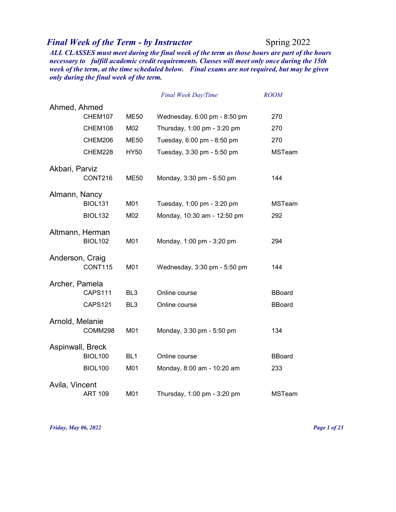## *Final Week of the Term - by Instructor* Spring 2022

*ALL CLASSES must meet during the final week of the term as those hours are part of the hours necessary to fulfill academic credit requirements. Classes will meet only once during the 15th week of the term, at the time scheduled below. Final exams are not required, but may be given only during the final week of the term.* 

|                  |                |                 | Final Week Day/Time          | <b>ROOM</b>   |
|------------------|----------------|-----------------|------------------------------|---------------|
| Ahmed, Ahmed     |                |                 |                              |               |
|                  | CHEM107        | <b>ME50</b>     | Wednesday, 6:00 pm - 8:50 pm | 270           |
|                  | CHEM108        | M02             | Thursday, 1:00 pm - 3:20 pm  | 270           |
|                  | CHEM206        | <b>ME50</b>     | Tuesday, 6:00 pm - 8:50 pm   | 270           |
|                  | CHEM228        | <b>HY50</b>     | Tuesday, 3:30 pm - 5:50 pm   | <b>MSTeam</b> |
| Akbari, Parviz   |                |                 |                              |               |
|                  | CONT216        | ME50            | Monday, 3:30 pm - 5:50 pm    | 144           |
| Almann, Nancy    |                |                 |                              |               |
|                  | <b>BIOL131</b> | M01             | Tuesday, 1:00 pm - 3:20 pm   | <b>MSTeam</b> |
|                  | <b>BIOL132</b> | M02             | Monday, 10:30 am - 12:50 pm  | 292           |
| Altmann, Herman  |                |                 |                              |               |
|                  | <b>BIOL102</b> | M01             | Monday, 1:00 pm - 3:20 pm    | 294           |
| Anderson, Craig  |                |                 |                              |               |
|                  | CONT115        | M01             | Wednesday, 3:30 pm - 5:50 pm | 144           |
| Archer, Pamela   |                |                 |                              |               |
|                  | CAPS111        | BL <sub>3</sub> | Online course                | <b>BBoard</b> |
|                  | <b>CAPS121</b> | BL <sub>3</sub> | Online course                | <b>BBoard</b> |
| Arnold, Melanie  |                |                 |                              |               |
|                  | COMM298        | M01             | Monday, 3:30 pm - 5:50 pm    | 134           |
| Aspinwall, Breck |                |                 |                              |               |
|                  | <b>BIOL100</b> | BL <sub>1</sub> | Online course                | <b>BBoard</b> |
|                  | <b>BIOL100</b> | M01             | Monday, 8:00 am - 10:20 am   | 233           |
| Avila, Vincent   |                |                 |                              |               |
|                  | <b>ART 109</b> | M01             | Thursday, 1:00 pm - 3:20 pm  | <b>MSTeam</b> |

*Friday, May 06, 2022 Page 1 of 23*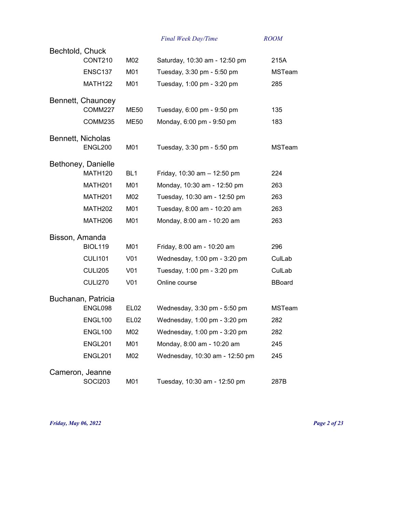| Bechtold, Chuck |                     |                  |                                |               |
|-----------------|---------------------|------------------|--------------------------------|---------------|
|                 | CONT210             | M02              | Saturday, 10:30 am - 12:50 pm  | 215A          |
|                 | ENSC137             | M01              | Tuesday, 3:30 pm - 5:50 pm     | <b>MSTeam</b> |
|                 | <b>MATH122</b>      | M01              | Tuesday, 1:00 pm - 3:20 pm     | 285           |
|                 | Bennett, Chauncey   |                  |                                |               |
|                 | <b>COMM227</b>      | ME50             | Tuesday, 6:00 pm - 9:50 pm     | 135           |
|                 | COMM235             | <b>ME50</b>      | Monday, 6:00 pm - 9:50 pm      | 183           |
|                 | Bennett, Nicholas   |                  |                                |               |
|                 | ENGL200             | M01              | Tuesday, 3:30 pm - 5:50 pm     | <b>MSTeam</b> |
|                 | Bethoney, Danielle  |                  |                                |               |
|                 | MATH <sub>120</sub> | BL <sub>1</sub>  | Friday, 10:30 am - 12:50 pm    | 224           |
|                 | MATH <sub>201</sub> | M01              | Monday, 10:30 am - 12:50 pm    | 263           |
|                 | <b>MATH201</b>      | M02              | Tuesday, 10:30 am - 12:50 pm   | 263           |
|                 | <b>MATH202</b>      | M01              | Tuesday, 8:00 am - 10:20 am    | 263           |
|                 | MATH206             | M01              | Monday, 8:00 am - 10:20 am     | 263           |
| Bisson, Amanda  |                     |                  |                                |               |
|                 | <b>BIOL119</b>      | M01              | Friday, 8:00 am - 10:20 am     | 296           |
|                 | <b>CULI101</b>      | V <sub>01</sub>  | Wednesday, 1:00 pm - 3:20 pm   | CulLab        |
|                 | <b>CULI205</b>      | V <sub>01</sub>  | Tuesday, 1:00 pm - 3:20 pm     | CulLab        |
|                 | <b>CULI270</b>      | V <sub>01</sub>  | Online course                  | <b>BBoard</b> |
|                 | Buchanan, Patricia  |                  |                                |               |
|                 | ENGL098             | <b>EL02</b>      | Wednesday, 3:30 pm - 5:50 pm   | <b>MSTeam</b> |
|                 | ENGL100             | EL <sub>02</sub> | Wednesday, 1:00 pm - 3:20 pm   | 282           |
|                 | ENGL100             | M02              | Wednesday, 1:00 pm - 3:20 pm   | 282           |
|                 | ENGL201             | M01              | Monday, 8:00 am - 10:20 am     | 245           |
|                 | ENGL201             | M02              | Wednesday, 10:30 am - 12:50 pm | 245           |
|                 | Cameron, Jeanne     |                  |                                |               |
|                 | <b>SOCI203</b>      | M01              | Tuesday, 10:30 am - 12:50 pm   | 287B          |

*Friday, May 06, 2022 Page 2 of 23*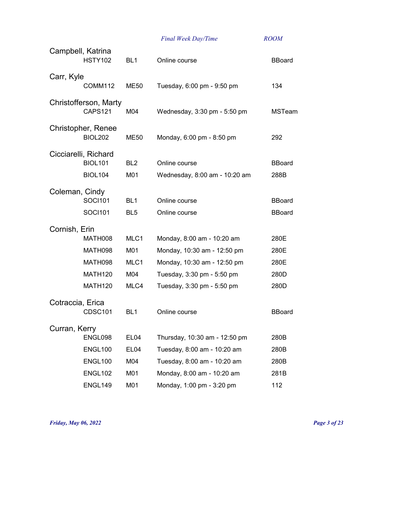|                   |                                      |                  | Final Week Day/Time           | <b>ROOM</b>   |
|-------------------|--------------------------------------|------------------|-------------------------------|---------------|
| Campbell, Katrina | <b>HSTY102</b>                       | BL <sub>1</sub>  | Online course                 | <b>BBoard</b> |
| Carr, Kyle        |                                      |                  |                               |               |
|                   | COMM112                              | ME50             | Tuesday, 6:00 pm - 9:50 pm    | 134           |
|                   | Christofferson, Marty<br>CAPS121     | M04              | Wednesday, 3:30 pm - 5:50 pm  | <b>MSTeam</b> |
|                   | Christopher, Renee<br><b>BIOL202</b> | ME50             | Monday, 6:00 pm - 8:50 pm     | 292           |
|                   | Cicciarelli, Richard                 |                  |                               |               |
|                   | <b>BIOL101</b>                       | BL <sub>2</sub>  | Online course                 | <b>BBoard</b> |
|                   | <b>BIOL104</b>                       | M01              | Wednesday, 8:00 am - 10:20 am | 288B          |
| Coleman, Cindy    |                                      |                  |                               |               |
|                   | <b>SOCI101</b>                       | BL <sub>1</sub>  | Online course                 | <b>BBoard</b> |
|                   | <b>SOCI101</b>                       | BL <sub>5</sub>  | Online course                 | <b>BBoard</b> |
| Cornish, Erin     |                                      |                  |                               |               |
|                   | <b>MATH008</b>                       | MLC1             | Monday, 8:00 am - 10:20 am    | 280E          |
|                   | MATH098                              | M01              | Monday, 10:30 am - 12:50 pm   | 280E          |
|                   | MATH098                              | MLC1             | Monday, 10:30 am - 12:50 pm   | 280E          |
|                   | MATH <sub>120</sub>                  | M04              | Tuesday, 3:30 pm - 5:50 pm    | 280D          |
|                   | <b>MATH120</b>                       | MLC4             | Tuesday, 3:30 pm - 5:50 pm    | 280D          |
| Cotraccia, Erica  |                                      |                  |                               |               |
|                   | <b>CDSC101</b>                       | BL <sub>1</sub>  | Online course                 | <b>BBoard</b> |
| Curran, Kerry     |                                      |                  |                               |               |
|                   | ENGL098                              | EL <sub>04</sub> | Thursday, 10:30 am - 12:50 pm | 280B          |
|                   | ENGL100                              | EL04             | Tuesday, 8:00 am - 10:20 am   | 280B          |
|                   | ENGL100                              | M04              | Tuesday, 8:00 am - 10:20 am   | 280B          |
|                   | <b>ENGL102</b>                       | M01              | Monday, 8:00 am - 10:20 am    | 281B          |
|                   | ENGL149                              | M01              | Monday, 1:00 pm - 3:20 pm     | 112           |

*Friday, May 06, 2022 Page 3 of 23*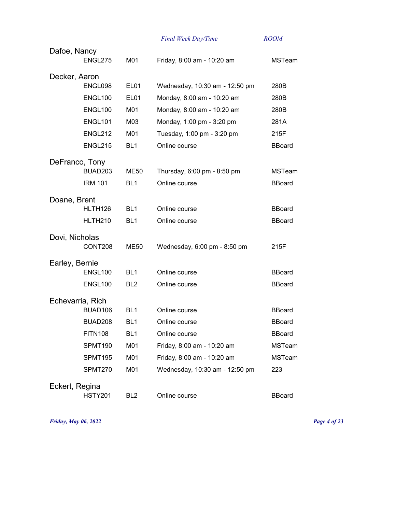|                  |                     |                  | Final Week Day/Time            | <b>ROOM</b>   |
|------------------|---------------------|------------------|--------------------------------|---------------|
| Dafoe, Nancy     |                     |                  |                                |               |
|                  | ENGL275             | M01              | Friday, 8:00 am - 10:20 am     | <b>MSTeam</b> |
| Decker, Aaron    |                     |                  |                                |               |
|                  | ENGL098             | EL <sub>01</sub> | Wednesday, 10:30 am - 12:50 pm | 280B          |
|                  | ENGL100             | EL <sub>01</sub> | Monday, 8:00 am - 10:20 am     | 280B          |
|                  | ENGL100             | M01              | Monday, 8:00 am - 10:20 am     | 280B          |
|                  | ENGL101             | M03              | Monday, 1:00 pm - 3:20 pm      | 281A          |
|                  | ENGL212             | M01              | Tuesday, 1:00 pm - 3:20 pm     | 215F          |
|                  | <b>ENGL215</b>      | BL <sub>1</sub>  | Online course                  | <b>BBoard</b> |
| DeFranco, Tony   |                     |                  |                                |               |
|                  | BUAD203             | <b>ME50</b>      | Thursday, 6:00 pm - 8:50 pm    | <b>MSTeam</b> |
|                  | <b>IRM 101</b>      | BL <sub>1</sub>  | Online course                  | <b>BBoard</b> |
| Doane, Brent     |                     |                  |                                |               |
|                  | HLTH <sub>126</sub> | BL <sub>1</sub>  | Online course                  | <b>BBoard</b> |
|                  | HLTH <sub>210</sub> | BL <sub>1</sub>  | Online course                  | <b>BBoard</b> |
| Dovi, Nicholas   |                     |                  |                                |               |
|                  | CONT208             | ME50             | Wednesday, 6:00 pm - 8:50 pm   | 215F          |
| Earley, Bernie   |                     |                  |                                |               |
|                  | ENGL100             | BL <sub>1</sub>  | Online course                  | <b>BBoard</b> |
|                  | ENGL100             | BL <sub>2</sub>  | Online course                  | <b>BBoard</b> |
| Echevarria, Rich |                     |                  |                                |               |
|                  | BUAD106             | BL <sub>1</sub>  | Online course                  | <b>BBoard</b> |
|                  | BUAD208             | BL <sub>1</sub>  | Online course                  | <b>BBoard</b> |
|                  | <b>FITN108</b>      | BL <sub>1</sub>  | Online course                  | <b>BBoard</b> |
|                  | SPMT190             | M01              | Friday, 8:00 am - 10:20 am     | <b>MSTeam</b> |
|                  | SPMT195             | M01              | Friday, 8:00 am - 10:20 am     | <b>MSTeam</b> |
|                  | SPMT270             | M01              | Wednesday, 10:30 am - 12:50 pm | 223           |
| Eckert, Regina   |                     |                  |                                |               |
|                  | <b>HSTY201</b>      | BL <sub>2</sub>  | Online course                  | <b>BBoard</b> |
|                  |                     |                  |                                |               |

*Friday, May 06, 2022 Page 4 of 23*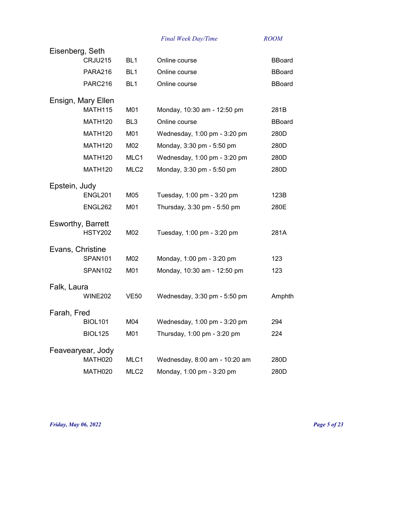| Eisenberg, Seth          |                  |                               |               |
|--------------------------|------------------|-------------------------------|---------------|
| CRJU215                  | BL <sub>1</sub>  | Online course                 | <b>BBoard</b> |
| PARA216                  | BL <sub>1</sub>  | Online course                 | BBoard        |
| PARC216                  | BL <sub>1</sub>  | Online course                 | <b>BBoard</b> |
| Ensign, Mary Ellen       |                  |                               |               |
| <b>MATH115</b>           | M01              | Monday, 10:30 am - 12:50 pm   | 281B          |
| MATH <sub>120</sub>      | BL <sub>3</sub>  | Online course                 | <b>BBoard</b> |
| <b>MATH120</b>           | M01              | Wednesday, 1:00 pm - 3:20 pm  | 280D          |
| <b>MATH120</b>           | M02              | Monday, 3:30 pm - 5:50 pm     | 280D          |
| <b>MATH120</b>           | MLC1             | Wednesday, 1:00 pm - 3:20 pm  | 280D          |
| <b>MATH120</b>           | MLC <sub>2</sub> | Monday, 3:30 pm - 5:50 pm     | 280D          |
| Epstein, Judy            |                  |                               |               |
| ENGL201                  | M05              | Tuesday, 1:00 pm - 3:20 pm    | 123B          |
| ENGL262                  | M01              | Thursday, 3:30 pm - 5:50 pm   | 280E          |
| <b>Esworthy, Barrett</b> |                  |                               |               |
| <b>HSTY202</b>           | M02              | Tuesday, 1:00 pm - 3:20 pm    | 281A          |
| Evans, Christine         |                  |                               |               |
| <b>SPAN101</b>           | M02              | Monday, 1:00 pm - 3:20 pm     | 123           |
| SPAN102                  | M01              | Monday, 10:30 am - 12:50 pm   | 123           |
| Falk, Laura              |                  |                               |               |
| <b>WINE202</b>           | <b>VE50</b>      | Wednesday, 3:30 pm - 5:50 pm  | Amphth        |
| Farah, Fred              |                  |                               |               |
| <b>BIOL101</b>           | M04              | Wednesday, 1:00 pm - 3:20 pm  | 294           |
| <b>BIOL125</b>           | M01              | Thursday, 1:00 pm - 3:20 pm   | 224           |
| Feavearyear, Jody        |                  |                               |               |
| MATH020                  | MLC1             | Wednesday, 8:00 am - 10:20 am | 280D          |
| MATH020                  | MLC <sub>2</sub> | Monday, 1:00 pm - 3:20 pm     | 280D          |

*Friday, May 06, 2022 Page 5 of 23*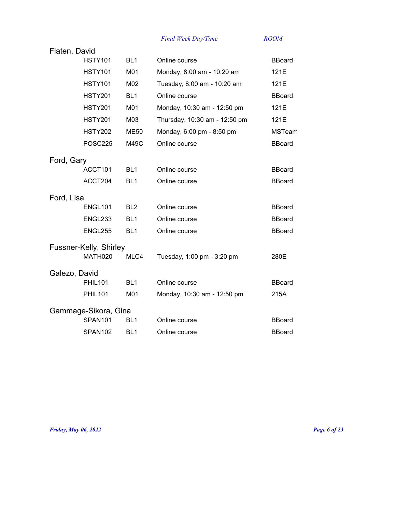| Flaten, David |                        |                 |                               |               |
|---------------|------------------------|-----------------|-------------------------------|---------------|
|               | <b>HSTY101</b>         | BL <sub>1</sub> | Online course                 | <b>BBoard</b> |
|               | <b>HSTY101</b>         | M01             | Monday, 8:00 am - 10:20 am    | 121E          |
|               | <b>HSTY101</b>         | M02             | Tuesday, 8:00 am - 10:20 am   | 121E          |
|               | <b>HSTY201</b>         | BL <sub>1</sub> | Online course                 | <b>BBoard</b> |
|               | <b>HSTY201</b>         | M01             | Monday, 10:30 am - 12:50 pm   | 121E          |
|               | <b>HSTY201</b>         | M03             | Thursday, 10:30 am - 12:50 pm | 121E          |
|               | <b>HSTY202</b>         | <b>ME50</b>     | Monday, 6:00 pm - 8:50 pm     | <b>MSTeam</b> |
|               | <b>POSC225</b>         | M49C            | Online course                 | <b>BBoard</b> |
| Ford, Gary    |                        |                 |                               |               |
|               | ACCT101                | BL <sub>1</sub> | Online course                 | <b>BBoard</b> |
|               | ACCT204                | BL <sub>1</sub> | Online course                 | <b>BBoard</b> |
| Ford, Lisa    |                        |                 |                               |               |
|               | <b>ENGL101</b>         | BL <sub>2</sub> | Online course                 | <b>BBoard</b> |
|               | ENGL233                | BL <sub>1</sub> | Online course                 | <b>BBoard</b> |
|               | <b>ENGL255</b>         | BL <sub>1</sub> | Online course                 | <b>BBoard</b> |
|               | Fussner-Kelly, Shirley |                 |                               |               |
|               | MATH020                | MLC4            | Tuesday, 1:00 pm - 3:20 pm    | 280E          |
| Galezo, David |                        |                 |                               |               |
|               | <b>PHIL101</b>         | BL <sub>1</sub> | Online course                 | <b>BBoard</b> |
|               | <b>PHIL101</b>         | M01             | Monday, 10:30 am - 12:50 pm   | 215A          |
|               | Gammage-Sikora, Gina   |                 |                               |               |
|               | SPAN <sub>101</sub>    | BL <sub>1</sub> | Online course                 | <b>BBoard</b> |
|               | SPAN102                | BL <sub>1</sub> | Online course                 | <b>BBoard</b> |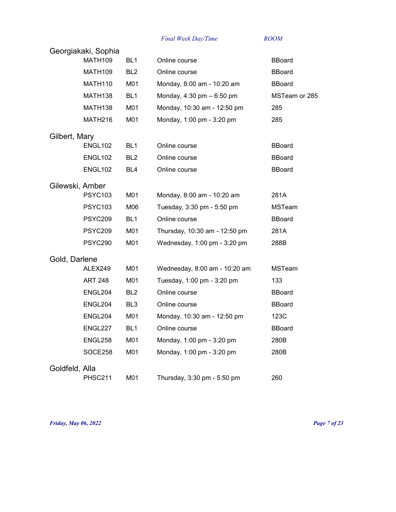|                 | Georgiakaki, Sophia<br><b>MATH109</b> |                 |                               |               |  |
|-----------------|---------------------------------------|-----------------|-------------------------------|---------------|--|
|                 |                                       | BL <sub>1</sub> | Online course                 | <b>BBoard</b> |  |
|                 | MATH <sub>109</sub>                   | BL <sub>2</sub> | Online course                 | <b>BBoard</b> |  |
|                 | MATH <sub>110</sub>                   | M01             | Monday, 8:00 am - 10:20 am    | <b>BBoard</b> |  |
|                 | MATH138                               | BL <sub>1</sub> | Monday, 4:30 pm - 6:50 pm     | MSTeam or 285 |  |
|                 | MATH <sub>138</sub>                   | M01             | Monday, 10:30 am - 12:50 pm   | 285           |  |
|                 | MATH216                               | M01             | Monday, 1:00 pm - 3:20 pm     | 285           |  |
| Gilbert, Mary   |                                       |                 |                               |               |  |
|                 | ENGL102                               | BL <sub>1</sub> | Online course                 | <b>BBoard</b> |  |
|                 | ENGL <sub>102</sub>                   | BL <sub>2</sub> | Online course                 | <b>BBoard</b> |  |
|                 | ENGL <sub>102</sub>                   | BL4             | Online course                 | <b>BBoard</b> |  |
| Gilewski, Amber |                                       |                 |                               |               |  |
|                 | <b>PSYC103</b>                        | M01             | Monday, 8:00 am - 10:20 am    | 281A          |  |
|                 | <b>PSYC103</b>                        | M06             | Tuesday, 3:30 pm - 5:50 pm    | <b>MSTeam</b> |  |
|                 | <b>PSYC209</b>                        | BL <sub>1</sub> | Online course                 | <b>BBoard</b> |  |
|                 | <b>PSYC209</b>                        | M01             | Thursday, 10:30 am - 12:50 pm | 281A          |  |
|                 | <b>PSYC290</b>                        | M01             | Wednesday, 1:00 pm - 3:20 pm  | 288B          |  |
| Gold, Darlene   |                                       |                 |                               |               |  |
|                 | ALEX249                               | M01             | Wednesday, 8:00 am - 10:20 am | <b>MSTeam</b> |  |
|                 | <b>ART 248</b>                        | M01             | Tuesday, 1:00 pm - 3:20 pm    | 133           |  |
|                 | ENGL204                               | BL <sub>2</sub> | Online course                 | <b>BBoard</b> |  |
|                 | ENGL204                               | BL <sub>3</sub> | Online course                 | <b>BBoard</b> |  |
|                 | ENGL204                               | M01             | Monday, 10:30 am - 12:50 pm   | 123C          |  |
|                 | ENGL227                               | BL <sub>1</sub> | Online course                 | <b>BBoard</b> |  |
|                 | ENGL258                               | M01             | Monday, 1:00 pm - 3:20 pm     | 280B          |  |
|                 | SOCE258                               | M01             | Monday, 1:00 pm - 3:20 pm     | 280B          |  |
| Goldfeld, Alla  |                                       |                 |                               |               |  |
|                 | <b>PHSC211</b>                        | M01             | Thursday, 3:30 pm - 5:50 pm   | 260           |  |

*Friday, May 06, 2022 Page 7 of 23*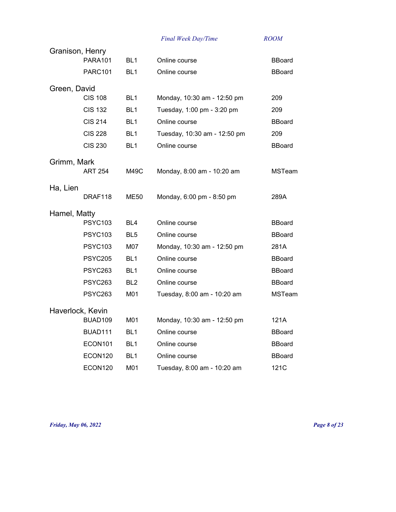| Granison, Henry |                  |                 |                              |               |
|-----------------|------------------|-----------------|------------------------------|---------------|
|                 | <b>PARA101</b>   | BL <sub>1</sub> | Online course                | <b>BBoard</b> |
|                 | <b>PARC101</b>   | BL <sub>1</sub> | Online course                | <b>BBoard</b> |
| Green, David    |                  |                 |                              |               |
|                 | <b>CIS 108</b>   | BL <sub>1</sub> | Monday, 10:30 am - 12:50 pm  | 209           |
|                 | <b>CIS 132</b>   | BL <sub>1</sub> | Tuesday, 1:00 pm - 3:20 pm   | 209           |
|                 | <b>CIS 214</b>   | BL <sub>1</sub> | Online course                | <b>BBoard</b> |
|                 | <b>CIS 228</b>   | BL <sub>1</sub> | Tuesday, 10:30 am - 12:50 pm | 209           |
|                 | <b>CIS 230</b>   | BL <sub>1</sub> | Online course                | <b>BBoard</b> |
| Grimm, Mark     |                  |                 |                              |               |
|                 | <b>ART 254</b>   | M49C            | Monday, 8:00 am - 10:20 am   | <b>MSTeam</b> |
| Ha, Lien        |                  |                 |                              |               |
|                 | DRAF118          | ME50            | Monday, 6:00 pm - 8:50 pm    | 289A          |
| Hamel, Matty    |                  |                 |                              |               |
|                 | <b>PSYC103</b>   | BL4             | Online course                | <b>BBoard</b> |
|                 | <b>PSYC103</b>   | BL <sub>5</sub> | Online course                | <b>BBoard</b> |
|                 | <b>PSYC103</b>   | M07             | Monday, 10:30 am - 12:50 pm  | 281A          |
|                 | <b>PSYC205</b>   | BL <sub>1</sub> | Online course                | <b>BBoard</b> |
|                 | <b>PSYC263</b>   | BL <sub>1</sub> | Online course                | <b>BBoard</b> |
|                 | <b>PSYC263</b>   | BL <sub>2</sub> | Online course                | <b>BBoard</b> |
|                 | <b>PSYC263</b>   | M01             | Tuesday, 8:00 am - 10:20 am  | <b>MSTeam</b> |
|                 | Haverlock, Kevin |                 |                              |               |
|                 | BUAD109          | M01             | Monday, 10:30 am - 12:50 pm  | 121A          |
|                 | BUAD111          | BL <sub>1</sub> | Online course                | <b>BBoard</b> |
|                 | ECON101          | BL <sub>1</sub> | Online course                | <b>BBoard</b> |
|                 | ECON120          | BL <sub>1</sub> | Online course                | <b>BBoard</b> |
|                 | ECON120          | M01             | Tuesday, 8:00 am - 10:20 am  | 121C          |

*Friday, May 06, 2022 Page 8 of 23*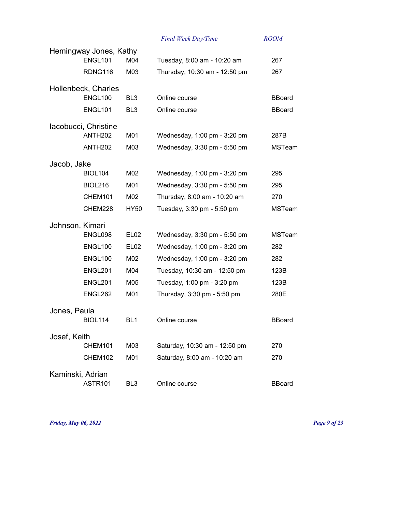|                  |                        |                  | Final Week Day/Time           | <b>ROOM</b>   |
|------------------|------------------------|------------------|-------------------------------|---------------|
|                  | Hemingway Jones, Kathy |                  |                               |               |
|                  | ENGL101                | M04              | Tuesday, 8:00 am - 10:20 am   | 267           |
|                  | RDNG116                | M03              | Thursday, 10:30 am - 12:50 pm | 267           |
|                  | Hollenbeck, Charles    |                  |                               |               |
|                  | <b>ENGL100</b>         | BL <sub>3</sub>  | Online course                 | <b>BBoard</b> |
|                  | ENGL101                | BL <sub>3</sub>  | Online course                 | <b>BBoard</b> |
|                  | Iacobucci, Christine   |                  |                               |               |
|                  | <b>ANTH202</b>         | M01              | Wednesday, 1:00 pm - 3:20 pm  | 287B          |
|                  | <b>ANTH202</b>         | M03              | Wednesday, 3:30 pm - 5:50 pm  | <b>MSTeam</b> |
| Jacob, Jake      |                        |                  |                               |               |
|                  | <b>BIOL104</b>         | M02              | Wednesday, 1:00 pm - 3:20 pm  | 295           |
|                  | <b>BIOL216</b>         | M01              | Wednesday, 3:30 pm - 5:50 pm  | 295           |
|                  | CHEM101                | M02              | Thursday, 8:00 am - 10:20 am  | 270           |
|                  | CHEM228                | <b>HY50</b>      | Tuesday, 3:30 pm - 5:50 pm    | <b>MSTeam</b> |
| Johnson, Kimari  |                        |                  |                               |               |
|                  | ENGL098                | EL <sub>02</sub> | Wednesday, 3:30 pm - 5:50 pm  | <b>MSTeam</b> |
|                  | ENGL100                | EL <sub>02</sub> | Wednesday, 1:00 pm - 3:20 pm  | 282           |
|                  | ENGL100                | M02              | Wednesday, 1:00 pm - 3:20 pm  | 282           |
|                  | ENGL201                | M04              | Tuesday, 10:30 am - 12:50 pm  | 123B          |
|                  | <b>ENGL201</b>         | M05              | Tuesday, 1:00 pm - 3:20 pm    | 123B          |
|                  | ENGL262                | M01              | Thursday, 3:30 pm - 5:50 pm   | 280E          |
| Jones, Paula     |                        |                  |                               |               |
|                  | <b>BIOL114</b>         | BL1              | Online course                 | <b>BBoard</b> |
| Josef, Keith     |                        |                  |                               |               |
|                  | CHEM101                | M03              | Saturday, 10:30 am - 12:50 pm | 270           |
|                  | CHEM102                | M01              | Saturday, 8:00 am - 10:20 am  | 270           |
| Kaminski, Adrian |                        |                  |                               |               |
|                  | ASTR101                | BL <sub>3</sub>  | Online course                 | <b>BBoard</b> |

*Friday, May 06, 2022 Page 9 of 23*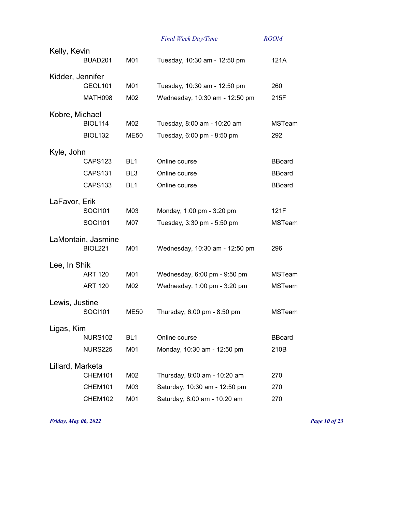|                  |                    |                 | Final Week Day/Time            | <b>ROOM</b>   |
|------------------|--------------------|-----------------|--------------------------------|---------------|
| Kelly, Kevin     |                    |                 |                                |               |
|                  | BUAD201            | M01             | Tuesday, 10:30 am - 12:50 pm   | 121A          |
| Kidder, Jennifer |                    |                 |                                |               |
|                  | GEOL101            | M01             | Tuesday, 10:30 am - 12:50 pm   | 260           |
|                  | MATH098            | M02             | Wednesday, 10:30 am - 12:50 pm | 215F          |
| Kobre, Michael   |                    |                 |                                |               |
|                  | <b>BIOL114</b>     | M02             | Tuesday, 8:00 am - 10:20 am    | <b>MSTeam</b> |
|                  | <b>BIOL132</b>     | <b>ME50</b>     | Tuesday, 6:00 pm - 8:50 pm     | 292           |
| Kyle, John       |                    |                 |                                |               |
|                  | CAPS123            | BL <sub>1</sub> | Online course                  | <b>BBoard</b> |
|                  | CAPS131            | BL <sub>3</sub> | Online course                  | <b>BBoard</b> |
|                  | <b>CAPS133</b>     | BL <sub>1</sub> | Online course                  | <b>BBoard</b> |
| LaFavor, Erik    |                    |                 |                                |               |
|                  | <b>SOCI101</b>     | M03             | Monday, 1:00 pm - 3:20 pm      | 121F          |
|                  | <b>SOCI101</b>     | M07             | Tuesday, 3:30 pm - 5:50 pm     | <b>MSTeam</b> |
|                  | LaMontain, Jasmine |                 |                                |               |
|                  | <b>BIOL221</b>     | M01             | Wednesday, 10:30 am - 12:50 pm | 296           |
| Lee, In Shik     |                    |                 |                                |               |
|                  | <b>ART 120</b>     | M01             | Wednesday, 6:00 pm - 9:50 pm   | <b>MSTeam</b> |
|                  | <b>ART 120</b>     | M02             | Wednesday, 1:00 pm - 3:20 pm   | <b>MSTeam</b> |
| Lewis, Justine   |                    |                 |                                |               |
|                  | <b>SOCI101</b>     | ME50            | Thursday, 6:00 pm - 8:50 pm    | <b>MSTeam</b> |
| Ligas, Kim       |                    |                 |                                |               |
|                  | <b>NURS102</b>     | BL <sub>1</sub> | Online course                  | <b>BBoard</b> |
|                  | <b>NURS225</b>     | M01             | Monday, 10:30 am - 12:50 pm    | 210B          |
| Lillard, Marketa |                    |                 |                                |               |
|                  | CHEM101            | M02             | Thursday, 8:00 am - 10:20 am   | 270           |
|                  | CHEM101            | M03             | Saturday, 10:30 am - 12:50 pm  | 270           |
|                  | CHEM102            | M01             | Saturday, 8:00 am - 10:20 am   | 270           |

*Friday, May 06, 2022 Page 10 of 23*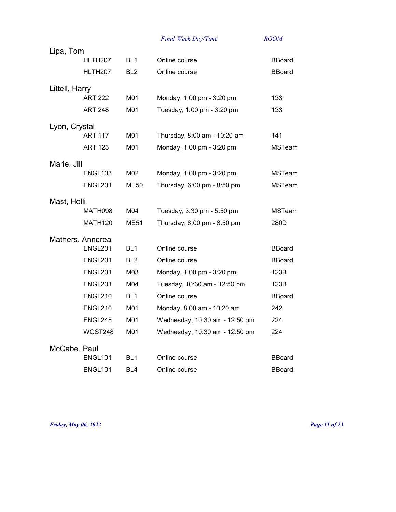| Lipa, Tom      |                     |                 |                                |               |
|----------------|---------------------|-----------------|--------------------------------|---------------|
|                | HLTH207             | BL <sub>1</sub> | Online course                  | <b>BBoard</b> |
|                | HLTH <sub>207</sub> | BL <sub>2</sub> | Online course                  | <b>BBoard</b> |
| Littell, Harry |                     |                 |                                |               |
|                | <b>ART 222</b>      | M01             | Monday, 1:00 pm - 3:20 pm      | 133           |
|                | <b>ART 248</b>      | M01             | Tuesday, 1:00 pm - 3:20 pm     | 133           |
| Lyon, Crystal  |                     |                 |                                |               |
|                | <b>ART 117</b>      | M01             | Thursday, 8:00 am - 10:20 am   | 141           |
|                | <b>ART 123</b>      | M01             | Monday, 1:00 pm - 3:20 pm      | MSTeam        |
| Marie, Jill    |                     |                 |                                |               |
|                | ENGL103             | M02             | Monday, 1:00 pm - 3:20 pm      | <b>MSTeam</b> |
|                | ENGL201             | <b>ME50</b>     | Thursday, 6:00 pm - 8:50 pm    | <b>MSTeam</b> |
| Mast, Holli    |                     |                 |                                |               |
|                | MATH098             | M04             | Tuesday, 3:30 pm - 5:50 pm     | <b>MSTeam</b> |
|                | <b>MATH120</b>      | <b>ME51</b>     | Thursday, 6:00 pm - 8:50 pm    | 280D          |
|                | Mathers, Anndrea    |                 |                                |               |
|                | ENGL201             | BL <sub>1</sub> | Online course                  | <b>BBoard</b> |
|                | ENGL201             | BL <sub>2</sub> | Online course                  | <b>BBoard</b> |
|                | ENGL201             | M03             | Monday, 1:00 pm - 3:20 pm      | 123B          |
|                | <b>ENGL201</b>      | M04             | Tuesday, 10:30 am - 12:50 pm   | 123B          |
|                | <b>ENGL210</b>      | BL <sub>1</sub> | Online course                  | <b>BBoard</b> |
|                | <b>ENGL210</b>      | M01             | Monday, 8:00 am - 10:20 am     | 242           |
|                | ENGL248             | M01             | Wednesday, 10:30 am - 12:50 pm | 224           |
|                | WGST248             | M01             | Wednesday, 10:30 am - 12:50 pm | 224           |
| McCabe, Paul   |                     |                 |                                |               |
|                | ENGL101             | BL <sub>1</sub> | Online course                  | <b>BBoard</b> |
|                | ENGL101             | BL <sub>4</sub> | Online course                  | <b>BBoard</b> |

*Friday, May 06, 2022 Page 11 of 23*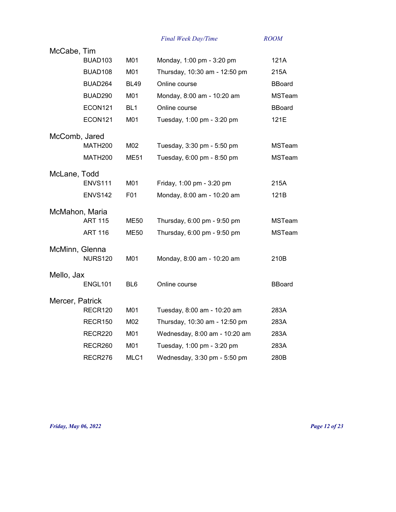|                 | McCabe, Tim    |                 |                               |               |
|-----------------|----------------|-----------------|-------------------------------|---------------|
|                 | <b>BUAD103</b> | M01             | Monday, 1:00 pm - 3:20 pm     | 121A          |
|                 | BUAD108        | M01             | Thursday, 10:30 am - 12:50 pm | 215A          |
|                 | BUAD264        | <b>BL49</b>     | Online course                 | <b>BBoard</b> |
|                 | BUAD290        | M01             | Monday, 8:00 am - 10:20 am    | <b>MSTeam</b> |
|                 | ECON121        | BL <sub>1</sub> | Online course                 | <b>BBoard</b> |
|                 | ECON121        | M01             | Tuesday, 1:00 pm - 3:20 pm    | 121E          |
| McComb, Jared   |                |                 |                               |               |
|                 | <b>MATH200</b> | M02             | Tuesday, 3:30 pm - 5:50 pm    | <b>MSTeam</b> |
|                 | MATH200        | <b>ME51</b>     | Tuesday, 6:00 pm - 8:50 pm    | <b>MSTeam</b> |
| McLane, Todd    |                |                 |                               |               |
|                 | <b>ENVS111</b> | M01             | Friday, 1:00 pm - 3:20 pm     | 215A          |
|                 | <b>ENVS142</b> | F01             | Monday, 8:00 am - 10:20 am    | 121B          |
| McMahon, Maria  |                |                 |                               |               |
|                 | <b>ART 115</b> | <b>ME50</b>     | Thursday, 6:00 pm - 9:50 pm   | <b>MSTeam</b> |
|                 | <b>ART 116</b> | <b>ME50</b>     | Thursday, 6:00 pm - 9:50 pm   | <b>MSTeam</b> |
| McMinn, Glenna  |                |                 |                               |               |
|                 | <b>NURS120</b> | M01             | Monday, 8:00 am - 10:20 am    | 210B          |
| Mello, Jax      |                |                 |                               |               |
|                 | ENGL101        | BL <sub>6</sub> | Online course                 | <b>BBoard</b> |
| Mercer, Patrick |                |                 |                               |               |
|                 | RECR120        | M01             | Tuesday, 8:00 am - 10:20 am   | 283A          |
|                 | RECR150        | M02             | Thursday, 10:30 am - 12:50 pm | 283A          |
|                 | RECR220        | M01             | Wednesday, 8:00 am - 10:20 am | 283A          |
|                 | RECR260        | M01             | Tuesday, 1:00 pm - 3:20 pm    | 283A          |
|                 | RECR276        | MLC1            | Wednesday, 3:30 pm - 5:50 pm  | 280B          |

*Friday, May 06, 2022 Page 12 of 23*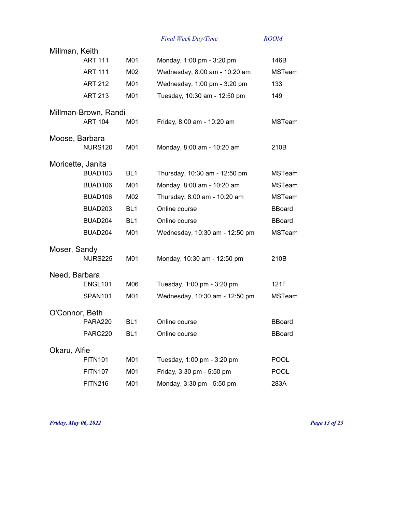| Millman, Keith    |                      |                 |                                |               |
|-------------------|----------------------|-----------------|--------------------------------|---------------|
|                   | <b>ART 111</b>       | M01             | Monday, 1:00 pm - 3:20 pm      | 146B          |
|                   | <b>ART 111</b>       | M02             | Wednesday, 8:00 am - 10:20 am  | <b>MSTeam</b> |
|                   | <b>ART 212</b>       | M01             | Wednesday, 1:00 pm - 3:20 pm   | 133           |
|                   | <b>ART 213</b>       | M01             | Tuesday, 10:30 am - 12:50 pm   | 149           |
|                   | Millman-Brown, Randi |                 |                                |               |
|                   | <b>ART 104</b>       | M01             | Friday, 8:00 am - 10:20 am     | <b>MSTeam</b> |
| Moose, Barbara    |                      |                 |                                |               |
|                   | <b>NURS120</b>       | M01             | Monday, 8:00 am - 10:20 am     | 210B          |
| Moricette, Janita |                      |                 |                                |               |
|                   | BUAD <sub>103</sub>  | BL <sub>1</sub> | Thursday, 10:30 am - 12:50 pm  | <b>MSTeam</b> |
|                   | BUAD106              | M01             | Monday, 8:00 am - 10:20 am     | <b>MSTeam</b> |
|                   | BUAD106              | M02             | Thursday, 8:00 am - 10:20 am   | <b>MSTeam</b> |
|                   | BUAD203              | BL <sub>1</sub> | Online course                  | <b>BBoard</b> |
|                   | BUAD204              | BL <sub>1</sub> | Online course                  | <b>BBoard</b> |
|                   | BUAD204              | M01             | Wednesday, 10:30 am - 12:50 pm | <b>MSTeam</b> |
| Moser, Sandy      |                      |                 |                                |               |
|                   | <b>NURS225</b>       | M01             | Monday, 10:30 am - 12:50 pm    | 210B          |
| Need, Barbara     |                      |                 |                                |               |
|                   | ENGL101              | M06             | Tuesday, 1:00 pm - 3:20 pm     | 121F          |
|                   | SPAN <sub>101</sub>  | M01             | Wednesday, 10:30 am - 12:50 pm | <b>MSTeam</b> |
| O'Connor, Beth    |                      |                 |                                |               |
|                   | <b>PARA220</b>       | BL <sub>1</sub> | Online course                  | <b>BBoard</b> |
|                   | <b>PARC220</b>       | BL <sub>1</sub> | Online course                  | <b>BBoard</b> |
| Okaru, Alfie      |                      |                 |                                |               |
|                   | <b>FITN101</b>       | M01             | Tuesday, 1:00 pm - 3:20 pm     | <b>POOL</b>   |
|                   | <b>FITN107</b>       | M01             | Friday, 3:30 pm - 5:50 pm      | <b>POOL</b>   |
|                   | <b>FITN216</b>       | M01             | Monday, 3:30 pm - 5:50 pm      | 283A          |

*Friday, May 06, 2022 Page 13 of 23*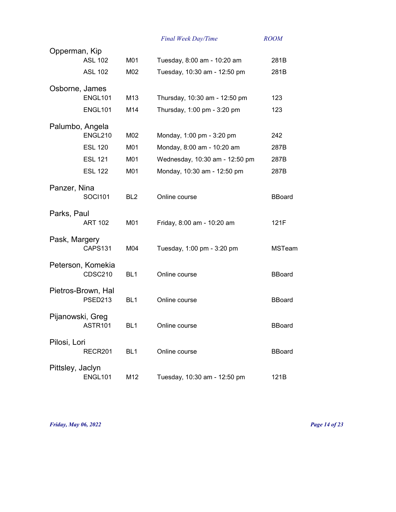|                  |                    |                 | Final Week Day/Time            | <b>ROOM</b>   |
|------------------|--------------------|-----------------|--------------------------------|---------------|
| Opperman, Kip    |                    |                 |                                |               |
|                  | <b>ASL 102</b>     | M01             | Tuesday, 8:00 am - 10:20 am    | 281B          |
|                  | <b>ASL 102</b>     | M02             | Tuesday, 10:30 am - 12:50 pm   | 281B          |
|                  | Osborne, James     |                 |                                |               |
|                  | ENGL101            | M <sub>13</sub> | Thursday, 10:30 am - 12:50 pm  | 123           |
|                  | ENGL101            | M14             | Thursday, 1:00 pm - 3:20 pm    | 123           |
|                  | Palumbo, Angela    |                 |                                |               |
|                  | <b>ENGL210</b>     | M02             | Monday, 1:00 pm - 3:20 pm      | 242           |
|                  | <b>ESL 120</b>     | M01             | Monday, 8:00 am - 10:20 am     | 287B          |
|                  | <b>ESL 121</b>     | M01             | Wednesday, 10:30 am - 12:50 pm | 287B          |
|                  | <b>ESL 122</b>     | M01             | Monday, 10:30 am - 12:50 pm    | 287B          |
| Panzer, Nina     |                    |                 |                                |               |
|                  | <b>SOCI101</b>     | BL <sub>2</sub> | Online course                  | <b>BBoard</b> |
| Parks, Paul      |                    |                 |                                |               |
|                  | <b>ART 102</b>     | M01             | Friday, 8:00 am - 10:20 am     | 121F          |
| Pask, Margery    |                    |                 |                                |               |
|                  | CAPS131            | M04             | Tuesday, 1:00 pm - 3:20 pm     | <b>MSTeam</b> |
|                  | Peterson, Komekia  |                 |                                |               |
|                  | <b>CDSC210</b>     | BL <sub>1</sub> | Online course                  | <b>BBoard</b> |
|                  | Pietros-Brown, Hal |                 |                                |               |
|                  | PSED213            | BL <sub>1</sub> | Online course                  | <b>BBoard</b> |
|                  | Pijanowski, Greg   |                 |                                |               |
|                  | ASTR101            | BL <sub>1</sub> | Online course                  | <b>BBoard</b> |
| Pilosi, Lori     |                    |                 |                                |               |
|                  | RECR201            | BL <sub>1</sub> | Online course                  | <b>BBoard</b> |
| Pittsley, Jaclyn |                    |                 |                                |               |
|                  | <b>ENGL101</b>     | M12             | Tuesday, 10:30 am - 12:50 pm   | 121B          |

*Friday, May 06, 2022 Page 14 of 23*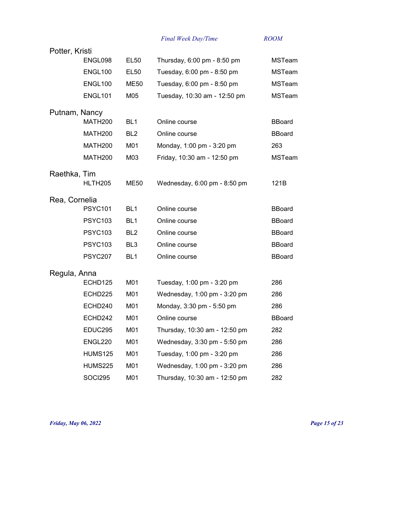|                |                     |                 | Final Week Day/Time           | <b>ROOM</b>   |
|----------------|---------------------|-----------------|-------------------------------|---------------|
| Potter, Kristi |                     |                 |                               |               |
|                | ENGL098             | <b>EL50</b>     | Thursday, 6:00 pm - 8:50 pm   | <b>MSTeam</b> |
|                | ENGL100             | <b>EL50</b>     | Tuesday, 6:00 pm - 8:50 pm    | <b>MSTeam</b> |
|                | ENGL100             | ME50            | Tuesday, 6:00 pm - 8:50 pm    | <b>MSTeam</b> |
|                | ENGL101             | M05             | Tuesday, 10:30 am - 12:50 pm  | <b>MSTeam</b> |
| Putnam, Nancy  |                     |                 |                               |               |
|                | <b>MATH200</b>      | BL <sub>1</sub> | Online course                 | <b>BBoard</b> |
|                | MATH <sub>200</sub> | BL <sub>2</sub> | Online course                 | <b>BBoard</b> |
|                | MATH <sub>200</sub> | M01             | Monday, 1:00 pm - 3:20 pm     | 263           |
|                | <b>MATH200</b>      | M03             | Friday, 10:30 am - 12:50 pm   | <b>MSTeam</b> |
| Raethka, Tim   |                     |                 |                               |               |
|                | HLTH <sub>205</sub> | ME50            | Wednesday, 6:00 pm - 8:50 pm  | 121B          |
| Rea, Cornelia  |                     |                 |                               |               |
|                | <b>PSYC101</b>      | BL <sub>1</sub> | Online course                 | <b>BBoard</b> |
|                | <b>PSYC103</b>      | BL <sub>1</sub> | Online course                 | <b>BBoard</b> |
|                | <b>PSYC103</b>      | BL <sub>2</sub> | Online course                 | <b>BBoard</b> |
|                | <b>PSYC103</b>      | BL <sub>3</sub> | Online course                 | <b>BBoard</b> |
|                | <b>PSYC207</b>      | BL <sub>1</sub> | Online course                 | <b>BBoard</b> |
| Regula, Anna   |                     |                 |                               |               |
|                | ECHD125             | M01             | Tuesday, 1:00 pm - 3:20 pm    | 286           |
|                | ECHD225             | M01             | Wednesday, 1:00 pm - 3:20 pm  | 286           |
|                | ECHD240             | M01             | Monday, 3:30 pm - 5:50 pm     | 286           |
|                | ECHD242             | M01             | Online course                 | <b>BBoard</b> |
|                | EDUC295             | M01             | Thursday, 10:30 am - 12:50 pm | 282           |
|                | ENGL220             | M01             | Wednesday, 3:30 pm - 5:50 pm  | 286           |
|                | <b>HUMS125</b>      | M01             | Tuesday, 1:00 pm - 3:20 pm    | 286           |
|                | <b>HUMS225</b>      | M01             | Wednesday, 1:00 pm - 3:20 pm  | 286           |
|                | SOCI295             | M01             | Thursday, 10:30 am - 12:50 pm | 282           |

*Friday, May 06, 2022 Page 15 of 23*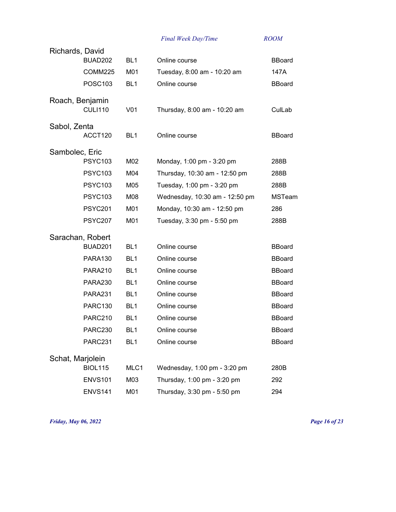| Richards, David  |                     |                 |                                |               |
|------------------|---------------------|-----------------|--------------------------------|---------------|
|                  | BUAD202             | BL <sub>1</sub> | Online course                  | <b>BBoard</b> |
|                  | COMM225             | M01             | Tuesday, 8:00 am - 10:20 am    | 147A          |
|                  | <b>POSC103</b>      | BL <sub>1</sub> | Online course                  | <b>BBoard</b> |
| Roach, Benjamin  |                     |                 |                                |               |
|                  | <b>CULI110</b>      | V <sub>01</sub> | Thursday, 8:00 am - 10:20 am   | CulLab        |
| Sabol, Zenta     |                     |                 |                                |               |
|                  | ACCT120             | BL <sub>1</sub> | Online course                  | <b>BBoard</b> |
| Sambolec, Eric   |                     |                 |                                |               |
|                  | <b>PSYC103</b>      | M02             | Monday, 1:00 pm - 3:20 pm      | 288B          |
|                  | <b>PSYC103</b>      | M04             | Thursday, 10:30 am - 12:50 pm  | 288B          |
|                  | <b>PSYC103</b>      | M05             | Tuesday, 1:00 pm - 3:20 pm     | 288B          |
|                  | <b>PSYC103</b>      | M08             | Wednesday, 10:30 am - 12:50 pm | <b>MSTeam</b> |
|                  | <b>PSYC201</b>      | M01             | Monday, 10:30 am - 12:50 pm    | 286           |
|                  | <b>PSYC207</b>      | M01             | Tuesday, 3:30 pm - 5:50 pm     | 288B          |
| Sarachan, Robert |                     |                 |                                |               |
|                  | BUAD <sub>201</sub> | BL <sub>1</sub> | Online course                  | <b>BBoard</b> |
|                  | PARA130             | BL <sub>1</sub> | Online course                  | <b>BBoard</b> |
|                  | <b>PARA210</b>      | BL <sub>1</sub> | Online course                  | <b>BBoard</b> |
|                  | PARA230             | BL <sub>1</sub> | Online course                  | <b>BBoard</b> |
|                  | <b>PARA231</b>      | BL <sub>1</sub> | Online course                  | <b>BBoard</b> |
|                  | <b>PARC130</b>      | BL <sub>1</sub> | Online course                  | <b>BBoard</b> |
|                  | <b>PARC210</b>      | BL <sub>1</sub> | Online course                  | <b>BBoard</b> |
|                  | <b>PARC230</b>      | BL <sub>1</sub> | Online course                  | <b>BBoard</b> |
|                  | <b>PARC231</b>      | BL <sub>1</sub> | Online course                  | <b>BBoard</b> |
| Schat, Marjolein |                     |                 |                                |               |
|                  | <b>BIOL115</b>      | MLC1            | Wednesday, 1:00 pm - 3:20 pm   | 280B          |
|                  | <b>ENVS101</b>      | M03             | Thursday, 1:00 pm - 3:20 pm    | 292           |
|                  | ENVS141             | M01             | Thursday, 3:30 pm - 5:50 pm    | 294           |

*Friday, May 06, 2022 Page 16 of 23*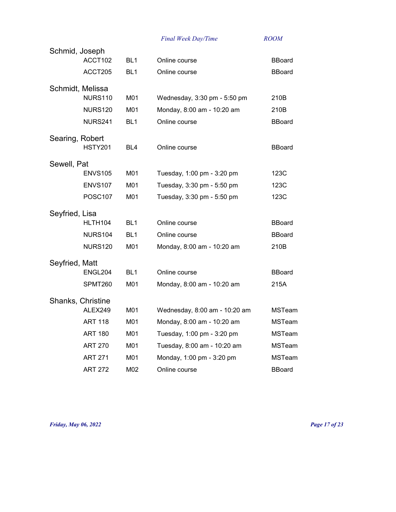| Schmid, Joseph    |                |                 |                               |               |
|-------------------|----------------|-----------------|-------------------------------|---------------|
|                   | ACCT102        | BL <sub>1</sub> | Online course                 | <b>BBoard</b> |
|                   | ACCT205        | BL <sub>1</sub> | Online course                 | <b>BBoard</b> |
| Schmidt, Melissa  |                |                 |                               |               |
|                   | <b>NURS110</b> | M01             | Wednesday, 3:30 pm - 5:50 pm  | 210B          |
|                   | <b>NURS120</b> | M01             | Monday, 8:00 am - 10:20 am    | 210B          |
|                   | <b>NURS241</b> | BL <sub>1</sub> | Online course                 | <b>BBoard</b> |
| Searing, Robert   |                |                 |                               |               |
|                   | <b>HSTY201</b> | BL <sub>4</sub> | Online course                 | <b>BBoard</b> |
| Sewell, Pat       |                |                 |                               |               |
|                   | <b>ENVS105</b> | M01             | Tuesday, 1:00 pm - 3:20 pm    | 123C          |
|                   | <b>ENVS107</b> | M01             | Tuesday, 3:30 pm - 5:50 pm    | 123C          |
|                   | <b>POSC107</b> | M01             | Tuesday, 3:30 pm - 5:50 pm    | 123C          |
| Seyfried, Lisa    |                |                 |                               |               |
|                   | HLTH104        | BL <sub>1</sub> | Online course                 | <b>BBoard</b> |
|                   | NURS104        | BL1             | Online course                 | <b>BBoard</b> |
|                   | <b>NURS120</b> | M01             | Monday, 8:00 am - 10:20 am    | 210B          |
| Seyfried, Matt    |                |                 |                               |               |
|                   | ENGL204        | BL <sub>1</sub> | Online course                 | <b>BBoard</b> |
|                   | SPMT260        | M01             | Monday, 8:00 am - 10:20 am    | 215A          |
| Shanks, Christine |                |                 |                               |               |
|                   | ALEX249        | M01             | Wednesday, 8:00 am - 10:20 am | <b>MSTeam</b> |
|                   | <b>ART 118</b> | M01             | Monday, 8:00 am - 10:20 am    | <b>MSTeam</b> |
|                   | <b>ART 180</b> | M01             | Tuesday, 1:00 pm - 3:20 pm    | <b>MSTeam</b> |
|                   | <b>ART 270</b> | M01             | Tuesday, 8:00 am - 10:20 am   | <b>MSTeam</b> |
|                   | <b>ART 271</b> | M01             | Monday, 1:00 pm - 3:20 pm     | MSTeam        |
|                   | <b>ART 272</b> | M02             | Online course                 | <b>BBoard</b> |

*Friday, May 06, 2022 Page 17 of 23*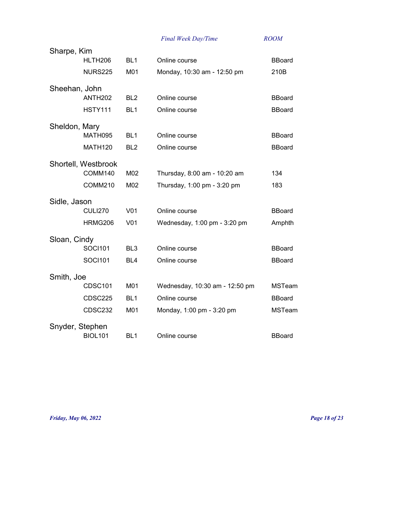| Sharpe, Kim     |                     |                 |                                |               |
|-----------------|---------------------|-----------------|--------------------------------|---------------|
|                 | HLTH206             | BL <sub>1</sub> | Online course                  | <b>BBoard</b> |
|                 | <b>NURS225</b>      | M01             | Monday, 10:30 am - 12:50 pm    | 210B          |
| Sheehan, John   |                     |                 |                                |               |
|                 | <b>ANTH202</b>      | BL <sub>2</sub> | Online course                  | <b>BBoard</b> |
|                 | <b>HSTY111</b>      | BL <sub>1</sub> | Online course                  | <b>BBoard</b> |
| Sheldon, Mary   |                     |                 |                                |               |
|                 | MATH095             | BL <sub>1</sub> | Online course                  | <b>BBoard</b> |
|                 | <b>MATH120</b>      | BL <sub>2</sub> | Online course                  | <b>BBoard</b> |
|                 | Shortell, Westbrook |                 |                                |               |
|                 | COMM140             | M02             | Thursday, 8:00 am - 10:20 am   | 134           |
|                 | COMM210             | M02             | Thursday, 1:00 pm - 3:20 pm    | 183           |
| Sidle, Jason    |                     |                 |                                |               |
|                 | <b>CULI270</b>      | V <sub>01</sub> | Online course                  | <b>BBoard</b> |
|                 | HRMG206             | V <sub>01</sub> | Wednesday, 1:00 pm - 3:20 pm   | Amphth        |
| Sloan, Cindy    |                     |                 |                                |               |
|                 | <b>SOCI101</b>      | BL <sub>3</sub> | Online course                  | <b>BBoard</b> |
|                 | <b>SOCI101</b>      | BL4             | Online course                  | <b>BBoard</b> |
| Smith, Joe      |                     |                 |                                |               |
|                 | CDSC101             | M01             | Wednesday, 10:30 am - 12:50 pm | <b>MSTeam</b> |
|                 | CDSC225             | BL <sub>1</sub> | Online course                  | <b>BBoard</b> |
|                 | <b>CDSC232</b>      | M01             | Monday, 1:00 pm - 3:20 pm      | <b>MSTeam</b> |
| Snyder, Stephen |                     |                 |                                |               |
|                 | <b>BIOL101</b>      | BL <sub>1</sub> | Online course                  | <b>BBoard</b> |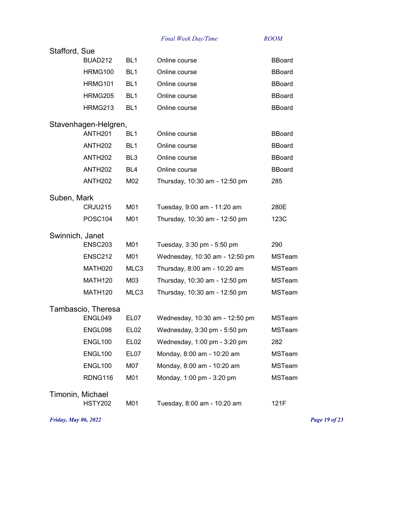| Stafford, Sue    |                      |                  |                                |               |
|------------------|----------------------|------------------|--------------------------------|---------------|
|                  | <b>BUAD212</b>       | BL <sub>1</sub>  | Online course                  | <b>BBoard</b> |
|                  | <b>HRMG100</b>       | BL <sub>1</sub>  | Online course                  | <b>BBoard</b> |
|                  | HRMG101              | BL <sub>1</sub>  | Online course                  | <b>BBoard</b> |
|                  | <b>HRMG205</b>       | BL <sub>1</sub>  | Online course                  | <b>BBoard</b> |
|                  | <b>HRMG213</b>       | BL <sub>1</sub>  | Online course                  | <b>BBoard</b> |
|                  | Stavenhagen-Helgren, |                  |                                |               |
|                  | ANTH <sub>201</sub>  | BL <sub>1</sub>  | Online course                  | <b>BBoard</b> |
|                  | <b>ANTH202</b>       | BL <sub>1</sub>  | Online course                  | <b>BBoard</b> |
|                  | <b>ANTH202</b>       | BL <sub>3</sub>  | Online course                  | <b>BBoard</b> |
|                  | <b>ANTH202</b>       | BL4              | Online course                  | <b>BBoard</b> |
|                  | <b>ANTH202</b>       | M02              | Thursday, 10:30 am - 12:50 pm  | 285           |
| Suben, Mark      |                      |                  |                                |               |
|                  | CRJU215              | M01              | Tuesday, 9:00 am - 11:20 am    | 280E          |
|                  | <b>POSC104</b>       | M01              | Thursday, 10:30 am - 12:50 pm  | 123C          |
| Swinnich, Janet  |                      |                  |                                |               |
|                  | <b>ENSC203</b>       | M01              | Tuesday, 3:30 pm - 5:50 pm     | 290           |
|                  | ENSC212              | M01              | Wednesday, 10:30 am - 12:50 pm | <b>MSTeam</b> |
|                  | MATH020              | MLC3             | Thursday, 8:00 am - 10:20 am   | <b>MSTeam</b> |
|                  | MATH <sub>120</sub>  | M03              | Thursday, 10:30 am - 12:50 pm  | <b>MSTeam</b> |
|                  | <b>MATH120</b>       | MLC3             | Thursday, 10:30 am - 12:50 pm  | <b>MSTeam</b> |
|                  | Tambascio, Theresa   |                  |                                |               |
|                  | ENGL049              | EL07             | Wednesday, 10:30 am - 12:50 pm | <b>MSTeam</b> |
|                  | ENGL098              | <b>EL02</b>      | Wednesday, 3:30 pm - 5:50 pm   | <b>MSTeam</b> |
|                  | <b>ENGL100</b>       | EL <sub>02</sub> | Wednesday, 1:00 pm - 3:20 pm   | 282           |
|                  | <b>ENGL100</b>       | EL07             | Monday, 8:00 am - 10:20 am     | <b>MSTeam</b> |
|                  |                      |                  |                                |               |
|                  | <b>ENGL100</b>       | M07              | Monday, 8:00 am - 10:20 am     | <b>MSTeam</b> |
|                  | RDNG116              | M01              | Monday, 1:00 pm - 3:20 pm      | <b>MSTeam</b> |
| Timonin, Michael |                      |                  |                                |               |
|                  | <b>HSTY202</b>       | M01              | Tuesday, 8:00 am - 10:20 am    | 121F          |

*Friday, May 06, 2022 Page 19 of 23*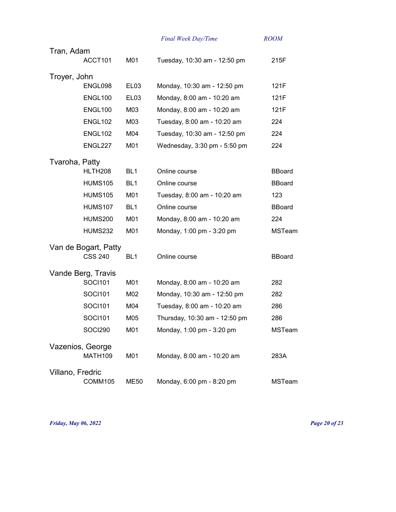|                  |                      |                  | Final Week Day/Time           | <b>ROOM</b>   |
|------------------|----------------------|------------------|-------------------------------|---------------|
| Tran, Adam       |                      |                  |                               |               |
|                  | ACCT101              | M01              | Tuesday, 10:30 am - 12:50 pm  | 215F          |
| Troyer, John     |                      |                  |                               |               |
|                  | ENGL098              | EL <sub>03</sub> | Monday, 10:30 am - 12:50 pm   | 121F          |
|                  | ENGL100              | EL <sub>03</sub> | Monday, 8:00 am - 10:20 am    | 121F          |
|                  | ENGL100              | M03              | Monday, 8:00 am - 10:20 am    | 121F          |
|                  | ENGL102              | M03              | Tuesday, 8:00 am - 10:20 am   | 224           |
|                  | ENGL102              | M04              | Tuesday, 10:30 am - 12:50 pm  | 224           |
|                  | ENGL227              | M01              | Wednesday, 3:30 pm - 5:50 pm  | 224           |
| Tvaroha, Patty   |                      |                  |                               |               |
|                  | HLTH <sub>208</sub>  | BL <sub>1</sub>  | Online course                 | <b>BBoard</b> |
|                  | <b>HUMS105</b>       | BL <sub>1</sub>  | Online course                 | <b>BBoard</b> |
|                  | <b>HUMS105</b>       | M01              | Tuesday, 8:00 am - 10:20 am   | 123           |
|                  | <b>HUMS107</b>       | BL <sub>1</sub>  | Online course                 | <b>BBoard</b> |
|                  | <b>HUMS200</b>       | M01              | Monday, 8:00 am - 10:20 am    | 224           |
|                  | <b>HUMS232</b>       | M01              | Monday, 1:00 pm - 3:20 pm     | <b>MSTeam</b> |
|                  | Van de Bogart, Patty |                  |                               |               |
|                  | <b>CSS 240</b>       | BL <sub>1</sub>  | Online course                 | <b>BBoard</b> |
|                  | Vande Berg, Travis   |                  |                               |               |
|                  | <b>SOCI101</b>       | M01              | Monday, 8:00 am - 10:20 am    | 282           |
|                  | SOCI101              | M02              | Monday, 10:30 am - 12:50 pm   | 282           |
|                  | SOCI101              | M04              | Tuesday, 8:00 am - 10:20 am   | 286           |
|                  | <b>SOCI101</b>       | M05              | Thursday, 10:30 am - 12:50 pm | 286           |
|                  | SOCI290              | M01              | Monday, 1:00 pm - 3:20 pm     | <b>MSTeam</b> |
|                  | Vazenios, George     |                  |                               |               |
|                  | <b>MATH109</b>       | M01              | Monday, 8:00 am - 10:20 am    | 283A          |
| Villano, Fredric |                      |                  |                               |               |
|                  | COMM105              | <b>ME50</b>      | Monday, 6:00 pm - 8:20 pm     | MSTeam        |

*Friday, May 06, 2022 Page 20 of 23*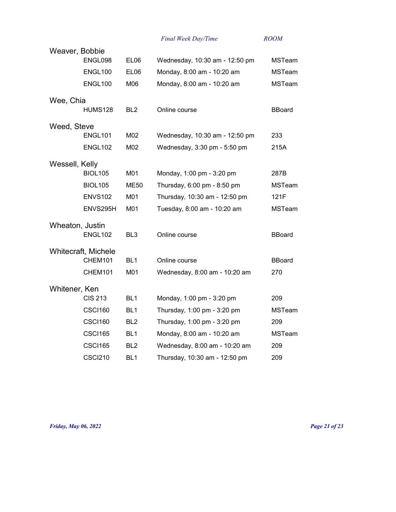| Weaver, Bobbie  |                            |                  |                                |               |
|-----------------|----------------------------|------------------|--------------------------------|---------------|
|                 | ENGL098                    | EL <sub>06</sub> | Wednesday, 10:30 am - 12:50 pm | <b>MSTeam</b> |
|                 | ENGL100                    | EL <sub>06</sub> | Monday, 8:00 am - 10:20 am     | <b>MSTeam</b> |
|                 | ENGL100                    | M06              | Monday, 8:00 am - 10:20 am     | <b>MSTeam</b> |
| Wee, Chia       |                            |                  |                                |               |
|                 | <b>HUMS128</b>             | BL <sub>2</sub>  | Online course                  | <b>BBoard</b> |
| Weed, Steve     |                            |                  |                                |               |
|                 | <b>ENGL101</b>             | M02              | Wednesday, 10:30 am - 12:50 pm | 233           |
|                 | ENGL102                    | M02              | Wednesday, 3:30 pm - 5:50 pm   | 215A          |
| Wessell, Kelly  |                            |                  |                                |               |
|                 | <b>BIOL105</b>             | M01              | Monday, 1:00 pm - 3:20 pm      | 287B          |
|                 | <b>BIOL105</b>             | ME50             | Thursday, 6:00 pm - 8:50 pm    | <b>MSTeam</b> |
|                 | ENVS <sub>102</sub>        | M01              | Thursday, 10:30 am - 12:50 pm  | 121F          |
|                 | ENVS295H                   | M01              | Tuesday, 8:00 am - 10:20 am    | <b>MSTeam</b> |
| Wheaton, Justin |                            |                  |                                |               |
|                 | ENGL102                    | BL <sub>3</sub>  | Online course                  | <b>BBoard</b> |
|                 | <b>Whitecraft, Michele</b> |                  |                                |               |
|                 | CHEM101                    | BL <sub>1</sub>  | Online course                  | <b>BBoard</b> |
|                 | CHEM101                    | M01              | Wednesday, 8:00 am - 10:20 am  | 270           |
| Whitener, Ken   |                            |                  |                                |               |
|                 | <b>CIS 213</b>             | BL <sub>1</sub>  | Monday, 1:00 pm - 3:20 pm      | 209           |
|                 | CSCI160                    | BL <sub>1</sub>  | Thursday, 1:00 pm - 3:20 pm    | <b>MSTeam</b> |
|                 | <b>CSCI160</b>             | BL <sub>2</sub>  | Thursday, 1:00 pm - 3:20 pm    | 209           |
|                 | <b>CSCI165</b>             | BL <sub>1</sub>  | Monday, 8:00 am - 10:20 am     | <b>MSTeam</b> |
|                 | <b>CSCI165</b>             | BL <sub>2</sub>  | Wednesday, 8:00 am - 10:20 am  | 209           |
|                 | <b>CSCI210</b>             | BL <sub>1</sub>  | Thursday, 10:30 am - 12:50 pm  | 209           |

*Friday, May 06, 2022 Page 21 of 23*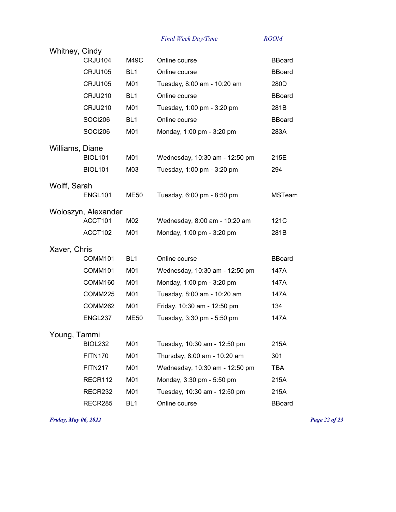| Whitney, Cindy  |                     |                 |                                |               |
|-----------------|---------------------|-----------------|--------------------------------|---------------|
|                 | CRJU104             | M49C            | Online course                  | <b>BBoard</b> |
|                 | CRJU105             | BL <sub>1</sub> | Online course                  | <b>BBoard</b> |
|                 | CRJU105             | M01             | Tuesday, 8:00 am - 10:20 am    | 280D          |
|                 | CRJU210             | BL <sub>1</sub> | Online course                  | <b>BBoard</b> |
|                 | <b>CRJU210</b>      | M01             | Tuesday, 1:00 pm - 3:20 pm     | 281B          |
|                 | <b>SOCI206</b>      | BL <sub>1</sub> | Online course                  | <b>BBoard</b> |
|                 | <b>SOCI206</b>      | M01             | Monday, 1:00 pm - 3:20 pm      | 283A          |
| Williams, Diane |                     |                 |                                |               |
|                 | <b>BIOL101</b>      | M01             | Wednesday, 10:30 am - 12:50 pm | 215E          |
|                 | <b>BIOL101</b>      | M03             | Tuesday, 1:00 pm - 3:20 pm     | 294           |
| Wolff, Sarah    |                     |                 |                                |               |
|                 | ENGL101             | <b>ME50</b>     | Tuesday, 6:00 pm - 8:50 pm     | <b>MSTeam</b> |
|                 | Woloszyn, Alexander |                 |                                |               |
|                 | ACCT101             | M02             | Wednesday, 8:00 am - 10:20 am  | 121C          |
|                 | ACCT102             | M01             | Monday, 1:00 pm - 3:20 pm      | 281B          |
| Xaver, Chris    |                     |                 |                                |               |
|                 | <b>COMM101</b>      | BL <sub>1</sub> | Online course                  | <b>BBoard</b> |
|                 | COMM101             | M01             | Wednesday, 10:30 am - 12:50 pm | 147A          |
|                 | COMM160             | M01             | Monday, 1:00 pm - 3:20 pm      | 147A          |
|                 | COMM225             | M01             | Tuesday, 8:00 am - 10:20 am    | 147A          |
|                 | COMM262             | M01             | Friday, 10:30 am - 12:50 pm    | 134           |
|                 | ENGL237             | <b>ME50</b>     | Tuesday, 3:30 pm - 5:50 pm     | 147A          |
| Young, Tammi    |                     |                 |                                |               |
|                 | <b>BIOL232</b>      | M01             | Tuesday, 10:30 am - 12:50 pm   | 215A          |
|                 | <b>FITN170</b>      | M01             | Thursday, 8:00 am - 10:20 am   | 301           |
|                 | <b>FITN217</b>      | M01             | Wednesday, 10:30 am - 12:50 pm | <b>TBA</b>    |
|                 | RECR112             | M01             | Monday, 3:30 pm - 5:50 pm      | 215A          |
|                 | RECR232             | M01             | Tuesday, 10:30 am - 12:50 pm   | 215A          |
|                 | RECR285             | BL <sub>1</sub> | Online course                  | <b>BBoard</b> |
|                 |                     |                 |                                |               |

*Friday, May 06, 2022 Page 22 of 23*